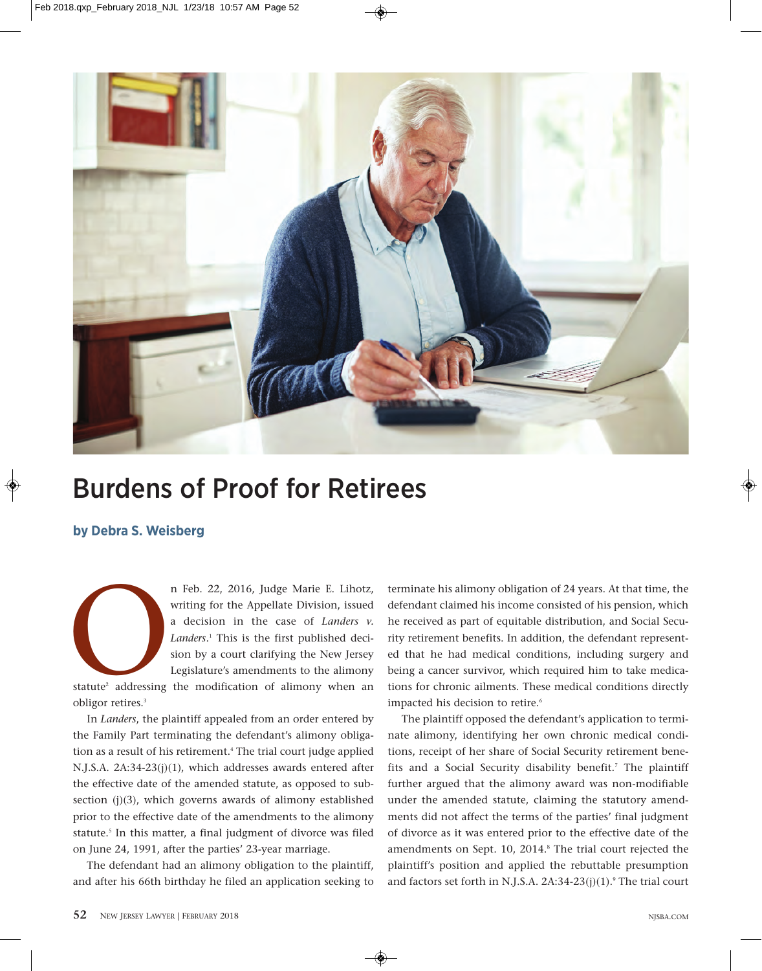

## Burdens of Proof for Retirees

**by Debra S. Weisberg**

n Feb. 22, 2016, Judge Marie E. Lihotz,<br>writing for the Appellate Division, issued<br>a decision in the case of *Landers* v.<br>*Landers*.<sup>1</sup> This is the first published decision by a court clarifying the New Jersey<br>Legislature' writing for the Appellate Division, issued a decision in the case of *Landers v. Landers*. <sup>1</sup> This is the first published decision by a court clarifying the New Jersey Legislature's amendments to the alimony

statute<sup>2</sup> addressing the modification of alimony when an obligor retires.3

In *Landers*, the plaintiff appealed from an order entered by the Family Part terminating the defendant's alimony obligation as a result of his retirement.<sup>4</sup> The trial court judge applied N.J.S.A. 2A:34-23(j)(1), which addresses awards entered after the effective date of the amended statute, as opposed to subsection (j)(3), which governs awards of alimony established prior to the effective date of the amendments to the alimony statute.<sup>5</sup> In this matter, a final judgment of divorce was filed on June 24, 1991, after the parties' 23-year marriage.

The defendant had an alimony obligation to the plaintiff, and after his 66th birthday he filed an application seeking to terminate his alimony obligation of 24 years. At that time, the defendant claimed his income consisted of his pension, which he received as part of equitable distribution, and Social Security retirement benefits. In addition, the defendant represented that he had medical conditions, including surgery and being a cancer survivor, which required him to take medications for chronic ailments. These medical conditions directly impacted his decision to retire.<sup>6</sup>

The plaintiff opposed the defendant's application to terminate alimony, identifying her own chronic medical conditions, receipt of her share of Social Security retirement benefits and a Social Security disability benefit.<sup>7</sup> The plaintiff further argued that the alimony award was non-modifiable under the amended statute, claiming the statutory amendments did not affect the terms of the parties' final judgment of divorce as it was entered prior to the effective date of the amendments on Sept. 10, 2014.<sup>8</sup> The trial court rejected the plaintiff's position and applied the rebuttable presumption and factors set forth in N.J.S.A.  $2A:34-23(j)(1)$ .<sup>9</sup> The trial court